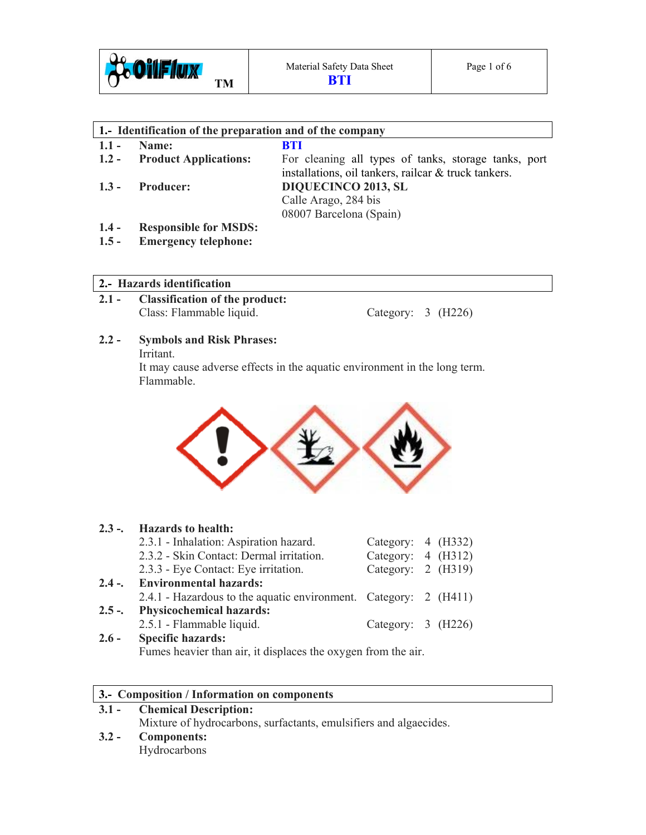

| 1. Identification of the preparation and of the company |                              |                                                                                                              |  |  |  |  |  |
|---------------------------------------------------------|------------------------------|--------------------------------------------------------------------------------------------------------------|--|--|--|--|--|
| $1.1 -$                                                 | Name:                        | <b>BTI</b>                                                                                                   |  |  |  |  |  |
|                                                         | 1.2 - Product Applications:  | For cleaning all types of tanks, storage tanks, port<br>installations, oil tankers, railcar & truck tankers. |  |  |  |  |  |
| $1.3 -$                                                 | <b>Producer:</b>             | <b>DIQUECINCO 2013, SL</b><br>Calle Arago, 284 bis<br>08007 Barcelona (Spain)                                |  |  |  |  |  |
| $1.4 -$                                                 | <b>Responsible for MSDS:</b> |                                                                                                              |  |  |  |  |  |
| $1.5 -$                                                 | <b>Emergency telephone:</b>  |                                                                                                              |  |  |  |  |  |

# **2.- Hazards identification**

**2.1 - Classification of the product:**  Class: Flammable liquid. Category: 3 (H226)

# **2.2 - Symbols and Risk Phrases:**

Irritant.

It may cause adverse effects in the aquatic environment in the long term. Flammable.



|         | 2.3 -. Hazards to health:                                        |                      |  |  |  |
|---------|------------------------------------------------------------------|----------------------|--|--|--|
|         | 2.3.1 - Inhalation: Aspiration hazard.                           | Category: 4 (H332)   |  |  |  |
|         | 2.3.2 - Skin Contact: Dermal irritation.                         | Category: 4 (H312)   |  |  |  |
|         | 2.3.3 - Eye Contact: Eye irritation.                             | Category: $2$ (H319) |  |  |  |
|         | 2.4 -. Environmental hazards:                                    |                      |  |  |  |
|         | 2.4.1 - Hazardous to the aquatic environment. Category: 2 (H411) |                      |  |  |  |
| $2.5 -$ | <b>Physicochemical hazards:</b>                                  |                      |  |  |  |
|         | 2.5.1 - Flammable liquid.                                        | Category: 3 (H226)   |  |  |  |
| $2.6 -$ | <b>Specific hazards:</b>                                         |                      |  |  |  |

Fumes heavier than air, it displaces the oxygen from the air.

## **3.- Composition / Information on components**

#### **3.1 - Chemical Description:**  Mixture of hydrocarbons, surfactants, emulsifiers and algaecides. **3.2 - Components:**  Hydrocarbons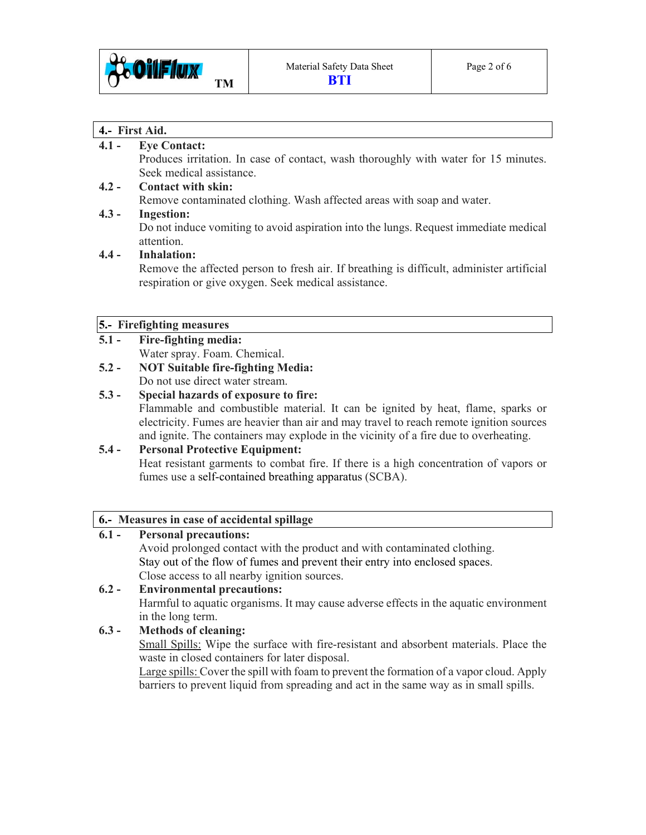

#### **4.- First Aid.**

## **4.1 - Eye Contact:**

Produces irritation. In case of contact, wash thoroughly with water for 15 minutes. Seek medical assistance.

# **4.2 - Contact with skin:**

Remove contaminated clothing. Wash affected areas with soap and water.

## **4.3 - Ingestion:**

Do not induce vomiting to avoid aspiration into the lungs. Request immediate medical attention.

## **4.4 - Inhalation:**

Remove the affected person to fresh air. If breathing is difficult, administer artificial respiration or give oxygen. Seek medical assistance.

#### **5.- Firefighting measures**

- **5.1 Fire-fighting media:**  Water spray. Foam. Chemical.
- **5.2 NOT Suitable fire-fighting Media:**  Do not use direct water stream.

#### **5.3 - Special hazards of exposure to fire:**  Flammable and combustible material. It can be ignited by heat, flame, sparks or electricity. Fumes are heavier than air and may travel to reach remote ignition sources and ignite. The containers may explode in the vicinity of a fire due to overheating.

## **5.4 - Personal Protective Equipment:**

Heat resistant garments to combat fire. If there is a high concentration of vapors or fumes use a self-contained breathing apparatus (SCBA).

## **6.- Measures in case of accidental spillage**

# **6.1 - Personal precautions:**

Avoid prolonged contact with the product and with contaminated clothing. Stay out of the flow of fumes and prevent their entry into enclosed spaces. Close access to all nearby ignition sources.

# **6.2 - Environmental precautions:**  Harmful to aquatic organisms. It may cause adverse effects in the aquatic environment in the long term.

## **6.3 - Methods of cleaning:**

Small Spills: Wipe the surface with fire-resistant and absorbent materials. Place the waste in closed containers for later disposal.

 Large spills: Cover the spill with foam to prevent the formation of a vapor cloud. Apply barriers to prevent liquid from spreading and act in the same way as in small spills.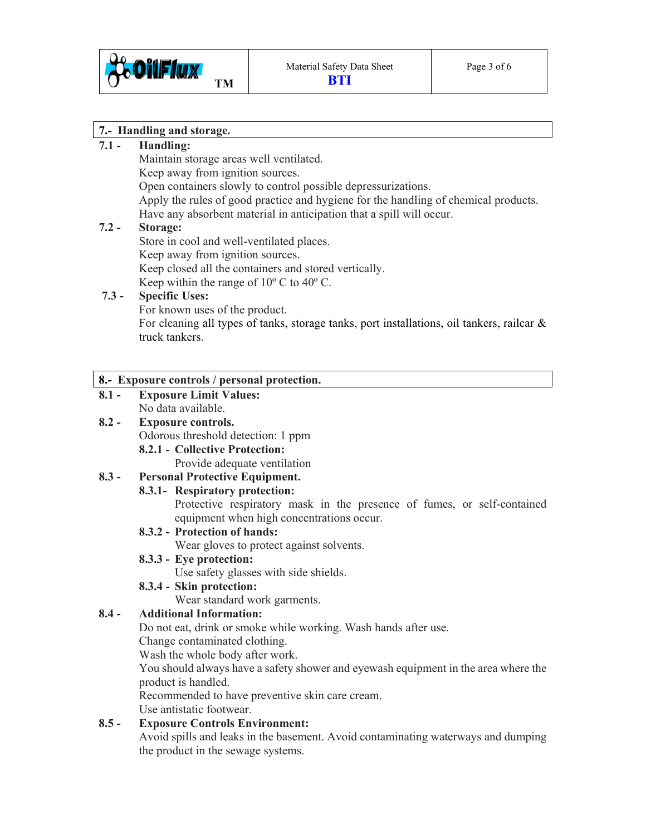

#### **7.- Handling and storage.**

# **7.1 - Handling:**

Maintain storage areas well ventilated.

Keep away from ignition sources.

Open containers slowly to control possible depressurizations.

 Apply the rules of good practice and hygiene for the handling of chemical products. Have any absorbent material in anticipation that a spill will occur.

#### **7.2 - Storage:**

Store in cool and well-ventilated places.

Keep away from ignition sources.

Keep closed all the containers and stored vertically.

Keep within the range of  $10^{\circ}$  C to  $40^{\circ}$  C.

## **7.3 - Specific Uses:**

For known uses of the product.

 For cleaning all types of tanks, storage tanks, port installations, oil tankers, railcar & truck tankers.

#### **8.- Exposure controls / personal protection.**

**8.1 - Exposure Limit Values:**  No data available.

# **8.2 - Exposure controls.**

Odorous threshold detection: 1 ppm

 **8.2.1 - Collective Protection:** 

Provide adequate ventilation

## **8.3 - Personal Protective Equipment.**

## **8.3.1- Respiratory protection:**

Protective respiratory mask in the presence of fumes, or self-contained equipment when high concentrations occur.

## **8.3.2 - Protection of hands:**

Wear gloves to protect against solvents.

## **8.3.3 - Eye protection:**

Use safety glasses with side shields.

## **8.3.4 - Skin protection:**

Wear standard work garments.

## **8.4 - Additional Information:**

Do not eat, drink or smoke while working. Wash hands after use.

Change contaminated clothing.

Wash the whole body after work.

 You should always have a safety shower and eyewash equipment in the area where the product is handled.

Recommended to have preventive skin care cream.

Use antistatic footwear.

## **8.5 - Exposure Controls Environment:**

Avoid spills and leaks in the basement. Avoid contaminating waterways and dumping the product in the sewage systems.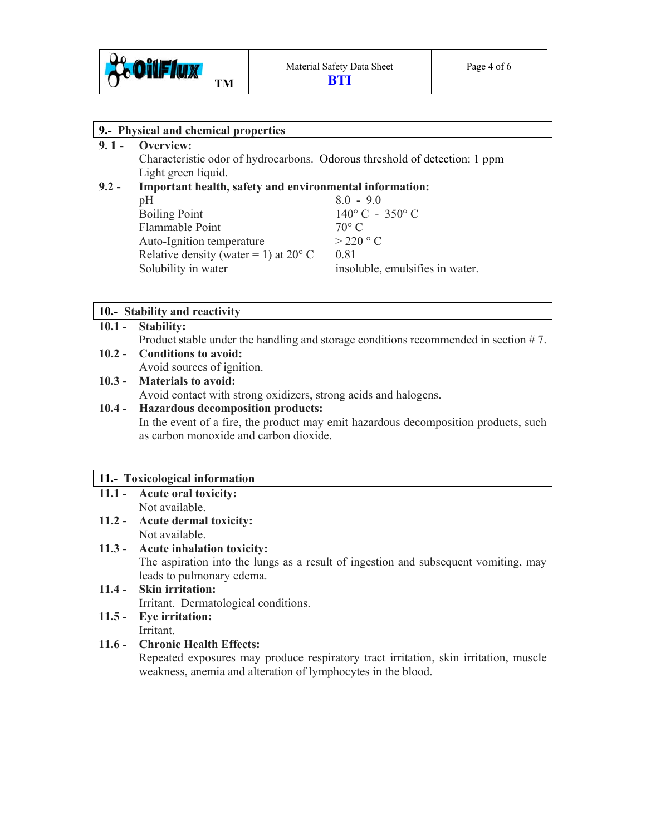

| 9.- Physical and chemical properties |                                                                            |                                 |  |  |
|--------------------------------------|----------------------------------------------------------------------------|---------------------------------|--|--|
| $9.1 -$                              | Overview:                                                                  |                                 |  |  |
|                                      | Characteristic odor of hydrocarbons. Odorous threshold of detection: 1 ppm |                                 |  |  |
|                                      | Light green liquid.                                                        |                                 |  |  |
| $9.2 -$                              | Important health, safety and environmental information:                    |                                 |  |  |
|                                      | pH                                                                         | $8.0 - 9.0$                     |  |  |
|                                      | <b>Boiling Point</b>                                                       | $140^{\circ}$ C - 350° C        |  |  |
|                                      | Flammable Point                                                            | $70^{\circ}$ C                  |  |  |
|                                      | Auto-Ignition temperature                                                  | $>$ 220 $\degree$ C             |  |  |
|                                      | Relative density (water = 1) at $20^{\circ}$ C                             | 0.81                            |  |  |
|                                      | Solubility in water                                                        | insoluble, emulsifies in water. |  |  |
|                                      |                                                                            |                                 |  |  |
|                                      |                                                                            |                                 |  |  |

#### **10.- Stability and reactivity**

## **10.1 - Stability:**

Product stable under the handling and storage conditions recommended in section #7.

## **10.2 - Conditions to avoid:**

Avoid sources of ignition.

#### **10.3 - Materials to avoid:**

Avoid contact with strong oxidizers, strong acids and halogens.

## **10.4 - Hazardous decomposition products:**

In the event of a fire, the product may emit hazardous decomposition products, such as carbon monoxide and carbon dioxide.

#### **11.- Toxicological information**

- **11.1 Acute oral toxicity:** Not available.
- **11.2 Acute dermal toxicity:**  Not available.

#### **11.3 - Acute inhalation toxicity:**

The aspiration into the lungs as a result of ingestion and subsequent vomiting, may leads to pulmonary edema.

**11.4 - Skin irritation:**  Irritant.Dermatological conditions.

#### **11.5 - Eye irritation:**  Irritant.

## **11.6 - Chronic Health Effects:**

Repeated exposures may produce respiratory tract irritation, skin irritation, muscle weakness, anemia and alteration of lymphocytes in the blood.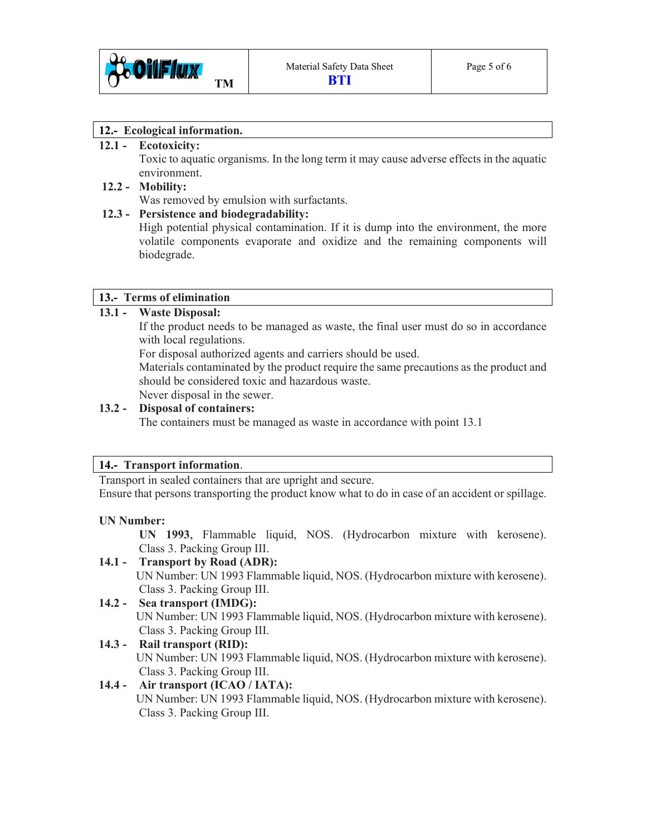

#### **12.- Ecological information.**

#### **12.1 - Ecotoxicity:**

Toxic to aquatic organisms. In the long term it may cause adverse effects in the aquatic environment.

#### **12.2 - Mobility:**

Was removed by emulsion with surfactants.

## **12.3 - Persistence and biodegradability:**

High potential physical contamination. If it is dump into the environment, the more volatile components evaporate and oxidize and the remaining components will biodegrade.

#### **13.- Terms of elimination**

## **13.1 - Waste Disposal:**

If the product needs to be managed as waste, the final user must do so in accordance with local regulations.

For disposal authorized agents and carriers should be used.

 Materials contaminated by the product require the same precautions as the product and should be considered toxic and hazardous waste. Never disposal in the sewer.

## **13.2 - Disposal of containers:**

The containers must be managed as waste in accordance with point 13.1

#### **14.- Transport information**.

Transport in sealed containers that are upright and secure.

Ensure that persons transporting the product know what to do in case of an accident or spillage.

#### **UN Number:**

 **UN 1993**, Flammable liquid, NOS. (Hydrocarbon mixture with kerosene). Class 3. Packing Group III.

## **14.1 - Transport by Road (ADR):**

 UN Number: UN 1993 Flammable liquid, NOS. (Hydrocarbon mixture with kerosene). Class 3. Packing Group III.

#### **14.2 - Sea transport (IMDG):**  UN Number: UN 1993 Flammable liquid, NOS. (Hydrocarbon mixture with kerosene). Class 3. Packing Group III.

## **14.3 - Rail transport (RID):**

UN Number: UN 1993 Flammable liquid, NOS. (Hydrocarbon mixture with kerosene). Class 3. Packing Group III.

## **14.4 - Air transport (ICAO / IATA):**

UN Number: UN 1993 Flammable liquid, NOS. (Hydrocarbon mixture with kerosene). Class 3. Packing Group III.